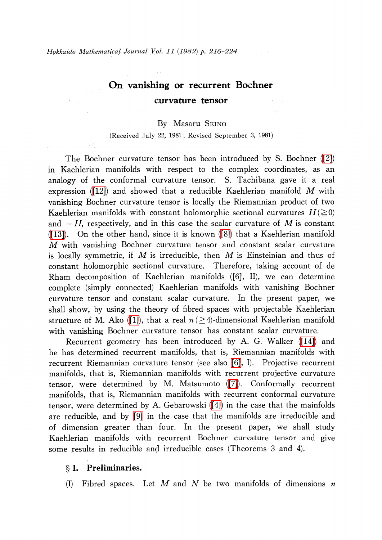in S

# On vanishing or recurrent Bochner curvature tensor

#### By Masaru SEINO

(Received July 22, 1981; Revised September 3, 1981)

The Bochner curvature tensor has been introduced by S. Bochner [\(\[2\]\)](#page-8-0) in Kaehlerian manifolds with respect to the complex coordinates, as an analogy of the conformal curvature tensor. S. Tachibana gave it a real expression [\(\[12\]\)](#page-8-1) and showed that a reducible Kaehlerian manifold  $M$  with vanishing Bochner curvature tensor is locally the Riemannian product of two Kaehlerian manifolds with constant holomorphic sectional curvatures  $H(\geq 0)$ Kaehlerian manifolds with constant holomorphic sectional curvatures  $H(\leq 0)$ <br>and  $-H$ , respectively, and in this case the scalar curvature of M is constant [\(\[13\]\)](#page-8-2). On the other hand, since it is known [\(\[8\]\)](#page-8-3) that a Kaehlerian manifold M with vanishing Bochner curvature tensor and constant scalar curvature is locally symmetric, if M is irreducible, then M is Einsteinian and thus of constant holomorphic sectional curvature. Therefore, taking account of de Rham decomposition of Kaehlerian manifolds ([6], II), we can determine complete (simply connected) Kaehlerian manifolds with vanishing Bochner curvature tensor and constant scalar curvature. In the present paper, we shall show, by using the theory of fibred spaces with projectable Kaehlerian structure of M. Ako [\(\[1\]\)](#page-8-4), that a real  $n(\geq 4)$ -dimensional Kaehlerian manifold with vanishing Bochner curvature tensor has constant scalar curvature.

Recurrent geometry has been introduced by A. G. Walker [\(\[14\]\)](#page-8-5) and he has determined recurrent manifolds, that is, Riemannian manifolds with recurrent Riemannian curvature tensor (see also [\[6\],](#page-8-6) I). Projective recurrent manifolds, that is, Riemannian manifolds with recurrent projective curvature tensor, were determined by M. Matsumoto [\(\[7\]\)](#page-8-7). Conformally recurrent manifolds, that is, Riemannian manifolds with recurrent conformal curvature tensor, were determined by A. Gebarowski [\(\[4\]\)](#page-8-8) in the case that the mainfolds are reducible, and by [\[9\]](#page-8-9) in the case that the manifolds are irreducible and of dimension greater than four. In the present paper, we shall study Kaehlerian manifolds with recurrent Bochner curvature tensor and give some results in reducible and irreducible cases (Theorems 3 and 4).

### \S 1. Preliminaries.

(I) Fibred spaces. Let M and N be two manifolds of dimensions  $n$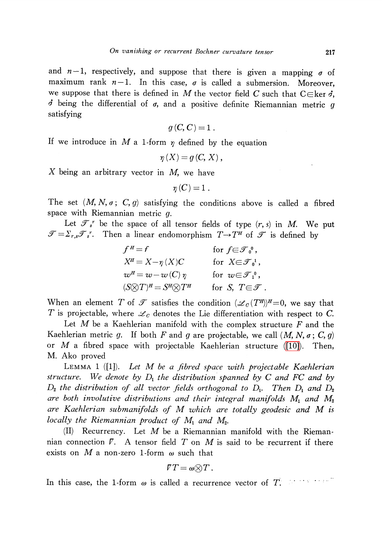and  $n-1$ , respectively, and suppose that there is given a mapping  $\sigma$  of maximum rank  $n-1$ . In this case,  $\sigma$  is called a submersion. Moreover, we suppose that there is defined in  $M$  the vector field C such that C $\in$ ker  $\dot{\sigma}$ ,  $\dot{\sigma}$  being the differential of  $\sigma$ , and a positive definite Riemannian metric  $g$ satisfying

$$
g(C, C) = 1.
$$

If we introduce in M a 1-form  $\eta$  defined by the equation

$$
\eta\left( X\right) =g\left( C,\,X\right) ,
$$

X being an arbitrary vector in M, we have

 $\eta(C)=1$ .

The set  $(M, N, \sigma; C, g)$  satisfying the conditions above is called a fibred space with Riemannian metric  $q$ .

Let  $\mathcal{T}_{s}^{r}$  be the space of all tensor fields of type  $(r, s)$  in M. We put  $\mathscr{T}=\Sigma_{r,s}\mathscr{T}_{s^{r}}$ . Then a linear endomorphism  $T\rightarrow T^{H}$  of  $\mathscr{T}$  is defined by

$$
f^{H} = f \qquad \text{for } f \in \mathcal{F}_{0}^{0},
$$
  
\n
$$
X^{H} = X - \eta(X)C \qquad \text{for } X \in \mathcal{F}_{0}^{1},
$$
  
\n
$$
w^{H} = w - w(C) \eta \qquad \text{for } w \in \mathcal{F}_{1}^{0},
$$
  
\n
$$
(S \otimes T)^{H} = S^{H} \otimes T^{H} \qquad \text{for } S, T \in \mathcal{F}.
$$

When an element T of  $\mathcal{T}$  satisfies the condition  $(\mathscr{L}_{C}(T^{H}))^{H}=0$ , we say that T is projectable, where  $\mathcal{L}_{C}$  denotes the Lie differentiation with respect to C.

Let  $M$  be a Kaehlerian manifold with the complex structure  $F$  and the Kaehlerian metric g. If both F and g are projectable, we call  $(M, N, \sigma; C, g)$ or M a fibred space with projectable Kaehlerian structure [\(\[10\]\)](#page-8-10). Then, M. Ako proved

<span id="page-1-0"></span>Lemma <sup>1</sup> ([1]). Let M be a fibred space with projectable Kaehlerian structure. We denote by  $D_{1}$  the distribution spanned by C and FC and by  $D_{2}$  the distribution of all vector fields orthogonal to  $D_{1}$ . Then  $D_{1}$  and  $D_{2}$ are both involutive distributions and their integral manifolds  $M_{1}$  and  $M_{2}$ are Kaehlerian submanifolds of M which are totally geodesic and M is locally the Riemannian product of  $M_{1}$  and  $M_{2}$ .

 $(II)$  Recurrency. Let  $M$  be a Riemannian manifold with the Riemannian connection  $\nabla$ . A tensor field  $T$  on  $M$  is said to be recurrent if there exists on M a non-zero 1-form  $\omega$  such that

$$
\mathit{FT}=\omega{\otimes}T\,.
$$

i generale e eller<br>Santa de eller In this case, the 1-form  $\omega$  is called a recurrence vector of T.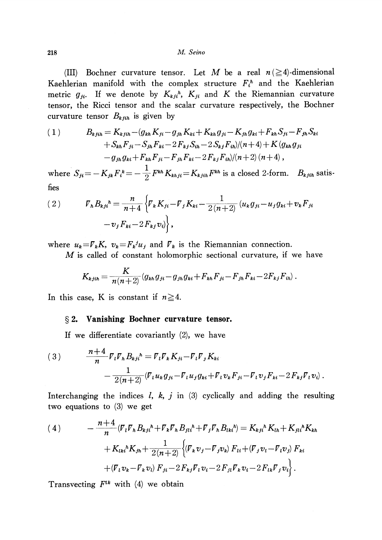218 M. Seino

(III) Bochner curvature tensor. Let M be a real  $n (\geq 4)$ -dimensional Kaehlerian manifold with the complex structure  $F_{i}^{h}$  and the Kaehlerian metric  $g_{ji}$ . If we denote by  $K_{kj^h}$ ,  $K_{ji}$  and  $K$  the Riemannian curvature tensor, the Ricci tensor and the scalar curvature respectively, the Bochner curvature tensor  $B_{k,jih}$  is given by

(1) 
$$
B_{k j i h} = K_{k j i h} - (g_{k h} K_{j i} - g_{j h} K_{k i} + K_{k h} g_{j i} - K_{j h} g_{k i} + F_{k h} S_{j i} - F_{j h} S_{k i} + S_{k h} F_{j i} - S_{j h} F_{k i} - 2 F_{k j} S_{i h} - 2 S_{k j} F_{i h} / (n + 4) + K (g_{k h} g_{j i} - g_{j h} g_{k i} + F_{k h} F_{j i} - F_{j h} F_{k i} - 2 F_{k j} F_{i h} / (n + 2) (n + 4),
$$

where  $S_{ji}=-K_{jk}F_{i}^{k}=- \frac{1}{2}F^{kh}K_{khji}=K_{kjih}F^{kh}$  is a closed 2-form.  $B_{kjih}$  satisfies

(2) 
$$
V_{h}B_{kj}{}^{h} = \frac{n}{n+4} \left\{ V_{k} K_{ji} - V_{j} K_{ki} - \frac{1}{2(n+2)} (u_{k} g_{ji} - u_{j} g_{ki} + v_{k} F_{ji} - v_{j} F_{ki} - 2 F_{kj} v_{i}) \right\},
$$

where  $u_{k}=\mathcal{F}_{k}K$ ,  $v_{k}=\mathcal{F}_{k}^{j}u_{j}$  and  $\mathcal{F}_{k}$  is the Riemannian connection.

M is called of constant holomorphic sectional curvature, if we have

$$
K_{kjih} = \frac{K}{n(n+2)} (g_{kh}g_{ji} - g_{jh}g_{ki} + F_{kh}F_{ji} - F_{jh}F_{ki} - 2F_{kj}F_{ih}).
$$

In this case, K is constant if  $n\geq 4$ .

#### \S 2. Vanishing Bochner curvature tensor.

If we differentiate covariantly (2), we have

(3) 
$$
\frac{n+4}{n} \nabla_{l} \nabla_{h} B_{k j i}{}^{h} = \nabla_{l} \nabla_{k} K_{j i} - \nabla_{l} \nabla_{j} K_{k i} - \frac{1}{2(n+2)} (\nabla_{l} u_{k} g_{j i} - \nabla_{l} u_{j} g_{k i} + \nabla_{l} v_{k} F_{j i} - \nabla_{l} v_{j} F_{k i} - 2 F_{k j} \nabla_{l} v_{i}).
$$

Interchanging the indices  $l, k, j$  in (3) cyclically and adding the resulting two equations to (3) we get

(4) 
$$
- \frac{n+4}{n} \langle \nabla_i \nabla_h B_{kj}{}^h + \nabla_k \nabla_h B_{jli}{}^h + \nabla_j \nabla_h B_{lki}{}^h \rangle = K_{kj}{}^h K_{lh} + K_{jli}{}^h K_{kh} + K_{lki}{}^h K_{jh} + \frac{1}{2(n+2)} \Big\{ (\nabla_k v_j - \nabla_j v_k) F_{li} + (\nabla_j v_l - \nabla_l v_j) F_{ki} + (\nabla_l v_k - \nabla_k v_l) F_{ji} - 2 F_{kj} \nabla_l v_i - 2 F_{jl} \nabla_k v_i - 2 F_{lk} \nabla_j v_i \Big\}.
$$

Transvecting  $F^{lk}$  with (4) we obtain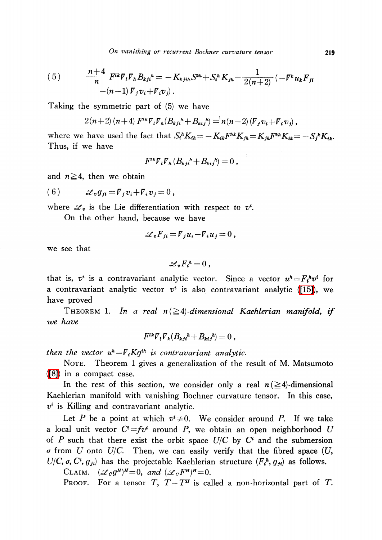(5) 
$$
\frac{n+4}{n} F^{ik} V_i V_h B_{kj}{}^h = -K_{kjih} S^{kh} + S_i{}^h K_{jh} - \frac{1}{2(n+2)} (-F^k u_k F_{ji} - (n-1) V_j v_i + V_i v_j).
$$

Taking the symmetric part of (5) we have

$$
2(n+2)(n+4) F^{ik} \nabla_i \nabla_k (B_{kj}h + B_{ki}h) = n(n-2) (\nabla_j v_i + \nabla_i v_j),
$$

where we have used the fact that  $S_{i}^{h}K_{ih}=-K_{ik}F^{hk}K_{ih}=K_{ih}F^{kh}K_{ik}=-S_{j}^{k}K_{ik}$ . Thus, if we have

$$
F^{lk}\overline{V}_l\overline{V}_h(B_{kjl}^h+B_{kij}^h)=0\ ,
$$

and  $n\geq 4$ , then we obtain

(6) 
$$
\mathscr{L}_v g_{ji} = \overline{V}_j v_i + \overline{V}_i v_j = 0,
$$

where  $\mathscr{L}_{v}$  is the Lie differentiation with respect to  $v^{i}$ .

On the other hand, because we have

$$
\mathscr{L}_v F_{ji} = \overline{V}_j u_i - \overline{V}_i u_j = 0 ,
$$

we see that

$$
\mathscr{L}_v F_i^h = 0 \ ,
$$

that is,  $v^{i}$  is a contravariant analytic vector. Since a vector  $u^{h}=F_{i}^{h}v^{i}$  for a contravariant analytic vector  $v^{i}$  is also contravariant analytic [\(\[15\]\)](#page-8-11), we have proved

THEOREM 1. In a real  $n (\geq 4)$ -dimensional Kaehlerian manifold, if we have

$$
F^{lk}\nabla_l \nabla_k (B_{ki}{}^h + B_{ki}{}^h) = 0 ,
$$

then the vector  $u^{h}=\overline{V}_{i}Kg^{ih}$  is contravariant analytic.

NOTE. Theorem 1 gives a generalization of the result of M. Matsumoto [\(\[8\]\)](#page-8-3) in a compact case.

In the rest of this section, we consider only a real  $n(\geq 4)$ -dimensional Kaehlerian manifold with vanishing Bochner curvature tensor. In this case,  $v^{i}$  is Killing and contravariant analytic.

Let P be a point at which  $v^{i}{\neq}0$ . We consider around P. If we take a local unit vector  $C^{i}=fv^{i}$  around P, we obtain an open neighborhood U of P such that there exist the orbit space  $U/C$  by  $C^{i}$  and the submersion  $\sigma$  from U onto U/C. Then, we can easily verify that the fibred space (U,  $U/C$ ,  $\sigma$ ,  $C^{i}$ ,  $g_{ji}$ ) has the projectable Kaehlerian structure  $(F_{i}{}^{h}, g_{ji})$  as follows.

CLAIM.  $(\mathscr{L}_{C}g^{H})^{H}=0$ , and  $(\mathscr{L}_{C}F^{H})^{H}=0$ .

PROOF. For a tensor T,  $T-T^{H}$  is called a non-horizontal part of T.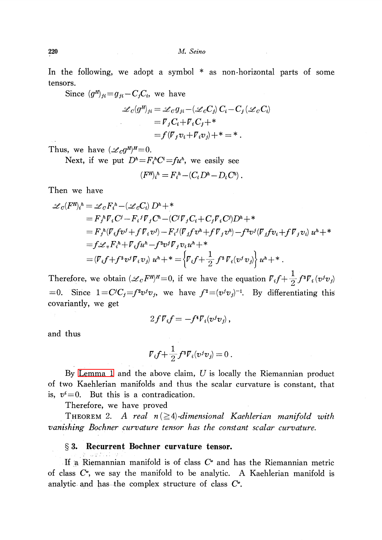In the following, we adopt a symbol \* as non-horizontal parts of some tensors.

Since  $(g^{H})_{ji}=g_{ji}-C_{j}C_{i}$ , we have

$$
\mathscr{L}_c(g^H)_{ji} = \mathscr{L}_C g_{ji} - (\mathscr{L}_c C_j) C_i - C_j (\mathscr{L}_c C_i)
$$
  
=  $\mathcal{V}_j C_i + \mathcal{V}_i C_j + *$   
=  $f(\mathcal{V}_j v_i + \mathcal{V}_i v_j) + *$  = \* .

Thus, we have  $(\mathscr{L}_{C}g^{H})^{H}=0$ .

Next, if we put  $D^{h}=F_{i}^{h}C^{i}=fu^{h}$ , we easily see

$$
(F^{\prime\prime})_i{}^h = F_i{}^h - (C_i D^h - D_i C^h)
$$

Then we have

$$
\mathcal{L}_{C}(F^{H})_{i}^{h} = \mathcal{L}_{C}F_{i}^{h} - (\mathcal{L}_{C}C_{i}) D^{h} +
$$
\n
$$
= F_{j}{}^{h} \nabla_{i} C^{j} - F_{i}{}^{j} \nabla_{j} C^{h} - (C^{j} \nabla_{j} C_{i} + C_{j} \nabla_{i} C^{j}) D^{h} +
$$
\n
$$
= F_{j}{}^{h} (\nabla_{i} f v^{j} + f \nabla_{i} v^{j}) - F_{i}{}^{j} (\nabla_{j} f v^{h} + f \nabla_{j} v^{h}) - f^{2} v^{j} (\nabla_{j} f v_{i} + f \nabla_{j} v_{i}) u^{h} +
$$
\n
$$
= f \mathcal{L}_{v} F_{i}{}^{h} + \nabla_{i} f u^{h} - f^{3} v^{j} \nabla_{j} v_{i} u^{h} +
$$
\n
$$
= (\nabla_{i} f + f^{3} v^{j} \nabla_{i} v_{j}) u^{h} +
$$
\n
$$
+ \sum_{i=1}^{n} f^{3} \nabla_{i} (v^{j} v_{j}) u^{h} +
$$

Therefore, we obtain  $(\mathscr{L}_{C}F^{H})^{H}=0$ , if we have the equation  $\mathcal{F}_{i}f+\frac{1}{2}f^{3}\mathcal{F}_{i}(v^{j}v_{j})$ =0. Since  $1=C^{j}C_{j}=f^{2}v^{j}v_{j}$ , we have  $f^{2}=(v^{j}v_{j})^{-1}$ . By differentiating this covariantly, we get

$$
2fV_i f = -f^4 V_i (v^j v_j) ,
$$

and thus

$$
\mathcal{V}_i f + \frac{1}{2} f^3 \mathcal{V}_i (v^j v_j) = 0.
$$

By [Lemma](#page-1-0) 1 and the above claim,  $U$  is locally the Riemannian product of two Kaehlerian manifolds and thus the scalar curvature is constant, that is,  $v^{i}=0$ . But this is a contradication.

Therefore, we have proved

THEOREM 2. A real  $n(\geq 4)$ -dimensional Kaehlerian manifold with vanishing Bochner curvature tensor has the constant scalar curvature.

## \S 3. Recurrent Bochner curvature tensor.

If a Riemannian manifold is of class  $C^{\bullet}$  and has the Riemannian metric of class  $C^{\bullet}$ , we say the manifold to be analytic.  $\,$  Kaehlerian manifold is analytic and has the complex structure of class  $C^{\bullet}$ .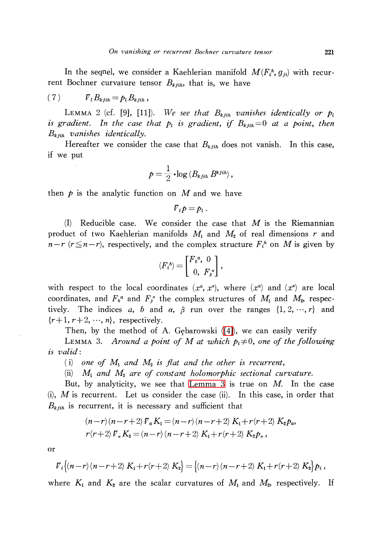In the sequel, we consider a Kaehlerian manifold  $M(F_{i}^{h}, g_{ji})$  with recurrent Bochner curvature tensor  $B_{k,jih}$ , that is, we have

$$
(7) \t\t\t\t \t\t\t\t \mathbf{V}_l B_{kjih} = p_l B_{kjih},
$$

LEMMA 2 (cf. [9], [11]). We see that  $B_{kjih}$  vanishes identically or  $p_{l}$ is gradient. In the case that  $p_{l}$  is gradient, if  $B_{k,jih}=0$  at a point, then  $B_{k,jih}$  vanishes identically.

Hereafter we consider the case that  $B_{kjih}$  does not vanish. In this case, if we put

$$
p = \frac{1}{2} \cdot \log \left( B_{kjih} B^{kjih} \right),
$$

then  $p$  is the analytic function on M and we have

$$
\mathbf{\nabla}_{t}p=p_{t}.
$$

(I) Reducible case. We consider the case that  $M$  is the Riemannian product of two Kaehlerian manifolds  $M_{1}$  and  $M_{2}$  of real dimensions r and  $n-r$  ( $r\leq n-r$ ), respectively, and the complex structure  $F_{i}^{h}$  on M is given by

$$
\langle F_i^{\,n} \rangle = \begin{bmatrix} F_{\,b}^{\,a}, & 0 \\ 0, & F_{\beta}^{\,a} \end{bmatrix},
$$

with respect to the local coordinates  $(x^{a}, x^{a})$ , where  $(x^{a})$  and  $(x^{\alpha})$  are local coordinates, and  $F_{b}^{a}$  and  $F_{\beta}^{\alpha}$  the complex structures of  $M_{1}$  and  $M_{2}$ , respectively. The indices a, b and  $\alpha,$   $\beta$  run over the ranges  $\{1, 2,$   $\cdots,$   $r\}$  and  $\{r+1, r+2, \ldots, n\}$ , respectively.

<span id="page-5-0"></span>Then, by the method of A. Gebarowski  $([4])$ , we can easily verify

LEMMA 3. Around a point of M at which  $p_{i}\neq 0$ , one of the following is valid:

(i) one of  $M_{1}$  and  $M_{2}$  is flat and the other is recurrent,

(ii)  $M_{1}$  and  $M_{2}$  are of constant holomorphic sectional curvature.

But, by analyticity, we see that [Lemma](#page-5-0) 3 is true on  $M$ . In the case (i),  $M$  is recurrent. Let us consider the case (ii). In this case, in order that  $B_{k,jih}$  is recurrent, it is necessary and sufficient that

$$
(n-r)(n-r+2) \nabla_a K_1 = (n-r)(n-r+2) K_1 + r(r+2) K_2 p_a,
$$
  
\n
$$
r(r+2) \nabla_a K_2 = (n-r)(n-r+2) K_1 + r(r+2) K_2 p_a,
$$

or

$$
\mathcal{F}_i\{(n-r)(n-r+2) K_1+r(r+2) K_2\} = \{(n-r)(n-r+2) K_1+r(r+2) K_2\} p_i,
$$

where  $K_{1}$  and  $K_{2}$  are the scalar curvatures of  $M_{1}$  and  $M_{2}$ , respectively. If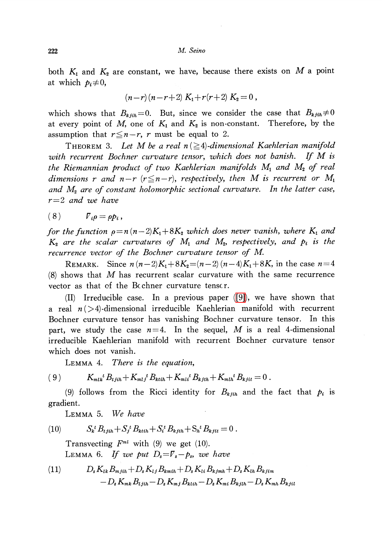222 M. Seino

both  $K_{1}$  and  $K_{2}$  are constant, we have, because there exists on M a point at which  $p_{i}\neq 0$ ,

$$
(n-r)(n-r+2) K_1 + r(r+2) K_2 = 0,
$$

which shows that  $B_{k,jih}=0$ . But, since we consider the case that  $B_{k,jih}\neq 0$ at every point of M, one of  $K_{1}$  and  $K_{2}$  is non-constant. Therefore, by the assumption that  $r \leq n-r$ , r must be equal to 2.

THEOREM 3. Let M be a real  $n (\geq 4)$ -dimensional Kaehlerian manifold with recurrent Bochner curvature tensor, which does not banish. If M is the Riemannian product of two Kaehlerian manifolds  $M_{1}$  and  $M_{2}$  of real dimensions r and  $n-r$  ( $r\leq n-r$ ), respectively, then M is recurrent or  $M_{1}$ and  $M_{2}$  are of constant holomorphic sectional curvature. In the latter case,  $r=2$  and we have

(8)  $\qquad \qquad \Gamma_{i}\rho=\rho p_{i}$ ,

for the function  $\rho=n(n-2)K_{1}+8K_{2}$  which does never vanish, where  $K_{1}$  and  $K_{2}$  are the scalar curvatures of  $M_{1}$  and  $M_{2}$ , respectively, and  $p_{i}$  is the recurrence vector of the Bochner curvature tensor of M.

REMARK. Since  $n(n-2)K_{1}+8K_{2}=(n-2)(n-4)K_{1}+8K$ , in the case  $n=4$  $(8)$  shows that M has recurrent scalar curvature with the same recurrence vector as that of the Bc chner curvature tensc r.

(II) Irreducible case. In a previous paper [\(\[9\]\)](#page-8-9), we have shown that a real  $n(>4)$ -dimensional irreducible Kaehlerian manifold with recurrent Bochner curvature tensor has vanishing Bochner curvature tensor. In this part, we study the case  $n=4$ . In the sequel, M is a real 4-dimensional irreducible Kaehlerian manifold with recurrent Bochner curvature tensor which does not vanish.

Lemma 4. There is the equation,

(9)  $K_{mlk}^{t}B_{tjih}+K_{mlj}^{t}B_{ktih}+K_{mli}^{t}B_{kjth}+K_{mlh}^{t}B_{kjit}=0$ .

(9) follows from the Ricci identity for  $B_{k,jih}$  and the fact that  $p_{i}$  is gradient.

Lemma 5. We have

<span id="page-6-1"></span>(10) 
$$
S_{k}{}^{t}B_{t j i h} + S_{j}{}^{t}B_{k t i h} + S_{i}{}^{t}B_{k j t h} + S_{h}{}^{t}B_{k j i t} = 0.
$$

Transvecting  $F^{ml}$  with (9) we get (10). LEMMA 6. If we put  $D_{s}=\mathcal{F}_{s}-p_{s}$ , we have

<span id="page-6-0"></span>(11) 
$$
D_{s} K_{lk} B_{mjih} + D_{s} K_{lj} B_{kmih} + D_{s} K_{li} B_{kjmh} + D_{s} K_{lh} B_{kjim} -D_{s} K_{mk} B_{ljih} - D_{s} K_{mj} B_{kilh} - D_{s} K_{mi} B_{kjih} - D_{s} K_{mh} B_{kjil}
$$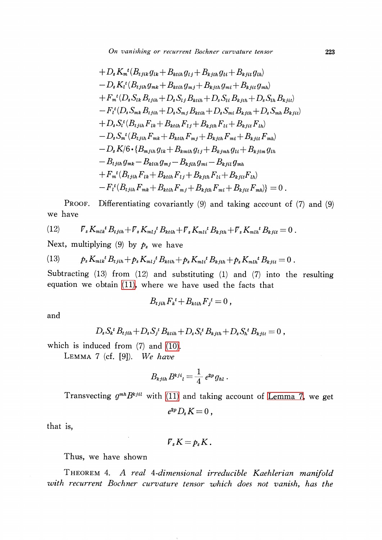On vanishing or recurrent Bochner curvature tensor 223

+ 
$$
D_s K_n^t (B_{tjik} g_{lk} + B_{ktih} g_{lj} + B_{kjth} g_{li} + B_{kjit} g_{lh})
$$
  
\n-  $D_s K_i^t (B_{tjih} g_{mk} + B_{ktih} g_{mj} + B_{kjth} g_{mi} + B_{kjit} g_{mh})$   
\n+  $F_m^t (D_s S_{lk} B_{tjih} + D_s S_{lj} B_{ktih} + D_s S_{li} B_{kjth} + D_s S_{lh} B_{kjit})$   
\n-  $F_i^t (D_s S_{mk} B_{tjih} + D_s S_{mj} B_{ktih} + D_s S_{mi} B_{kjth} + D_s S_{mh} B_{kjit})$   
\n+  $D_s S_i^t (B_{tjih} F_{lk} + B_{ktih} F_{lj} + B_{kjth} F_{li} + B_{kjit} F_{lh})$   
\n-  $D_s S_m^t (B_{tjih} F_{mk} + B_{ktih} F_{mj} + B_{kjth} F_{mi} + B_{kjit} F_{mh})$   
\n-  $D_s K/6 \cdot \{B_{mjih} g_{lk} + B_{kmih} g_{lj} + B_{kjmh} g_{li} + B_{kjim} g_{lh}$   
\n-  $B_{ljih} g_{mk} - B_{klih} g_{mj} - B_{kjli} g_{mi} - B_{kjil} g_{mh}$   
\n+  $F_m^t (B_{tjih} F_{lk} + B_{ktih} F_{lj} + B_{kjth} F_{li} + B_{kjit} F_{lh})$   
\n-  $F_i^t (B_{tjih} F_{mk} + B_{ktih} F_{mj} + B_{kjth} F_{mi} + B_{kjit} F_{mh})$  = 0.

PROOF. Differentiating covariantly (9) and taking account of (7) and (9) we have

(12) 
$$
\mathcal{V}_{s} K_{mlk}{}^{t} B_{t j i h} + \mathcal{V}_{s} K_{m l j}{}^{t} B_{k t i h} + \mathcal{V}_{s} K_{m l i}{}^{t} B_{k j t h} + \mathcal{V}_{s} K_{m l h}{}^{t} B_{k j i t} = 0.
$$

Next, multiplying (9) by  $p_{s}$  we have

(13) 
$$
p_s K_{mlk}{}^t B_{tjih} + p_s K_{mlj}{}^t B_{ktih} + p_s K_{mli}{}^t B_{kjih} + p_s K_{mli}{}^t B_{kjit} = 0.
$$

Subtracting (13) from (12) and substituting (1) and (7) into the resulting equation we obtain [\(11\),](#page-6-0) where we have used the facts that

$$
B_{t\,j\,i\hbar}\,F_k{}^t + B_{kt\,i\hbar}\,F_j{}^t = 0\,,
$$

and

$$
D_s S_k^{\ t} B_{t j i h} + D_s S_j^{\ t} B_{k t i h} + D_s S_i^{\ t} B_{k j t h} + D_s S_h^{\ t} B_{k j i t} = 0 \ ,
$$

which is induced from (7) and [\(10\).](#page-6-1)

<span id="page-7-0"></span>LEMMA 7 (cf.  $[9]$ ). We have

$$
B_{kjih}B^{kj}i_l=\frac{1}{4}e^{2p}g_{hl}.
$$

Transvecting  $g^{mh}B^{kjil}$  with [\(11\)](#page-6-0) and taking account of [Lemma](#page-7-0) 7, we get

$$
e^{2p}D_s K=0,
$$

that is,

$$
F_s K = p_s K.
$$

Thus, we have shown

THEOREM 4. A real 4-dimensional irreducible Kaehlerian manifold with recurrent Bochner curvature tensor which does not vanish, has the